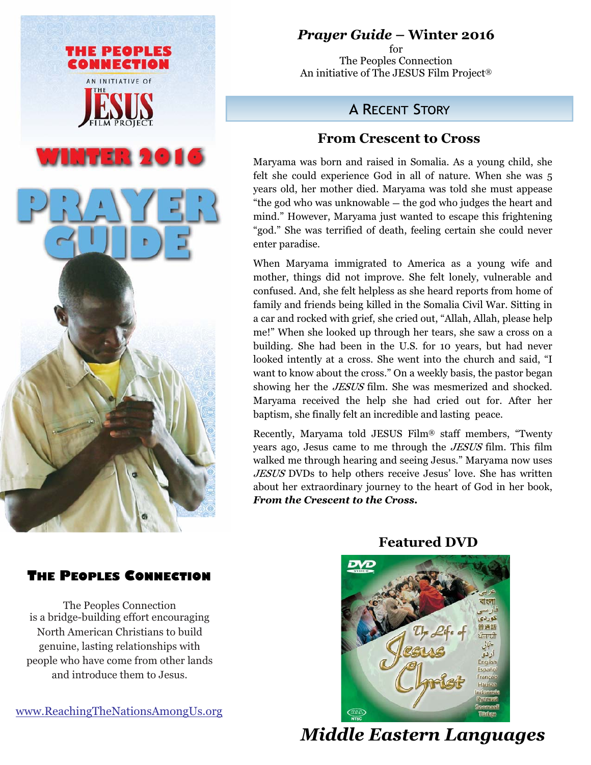

# *Prayer Guide* **– Winter 2016**

for The Peoples Connection An initiative of The JESUS Film Project®

# **A RECENT STORY**

## **From Crescent to Cross**

Maryama was born and raised in Somalia. As a young child, she felt she could experience God in all of nature. When she was 5 years old, her mother died. Maryama was told she must appease "the god who was unknowable **—** the god who judges the heart and mind." However, Maryama just wanted to escape this frightening "god." She was terrified of death, feeling certain she could never enter paradise.

When Maryama immigrated to America as a young wife and mother, things did not improve. She felt lonely, vulnerable and confused. And, she felt helpless as she heard reports from home of family and friends being killed in the Somalia Civil War. Sitting in a car and rocked with grief, she cried out, "Allah, Allah, please help me!" When she looked up through her tears, she saw a cross on a building. She had been in the U.S. for 10 years, but had never looked intently at a cross. She went into the church and said, "I want to know about the cross." On a weekly basis, the pastor began showing her the JESUS film. She was mesmerized and shocked. Maryama received the help she had cried out for. After her baptism, she finally felt an incredible and lasting peace.

Recently, Maryama told JESUS Film® staff members, "Twenty years ago, Jesus came to me through the JESUS film. This film walked me through hearing and seeing Jesus." Maryama now uses JESUS DVDs to help others receive Jesus' love. She has written about her extraordinary journey to the heart of God in her book, *From the Crescent to the Cross.* 

### **THE PEOPLES CONNECTION**

The Peoples Connection is a bridge-building effort encouraging North American Christians to build genuine, lasting relationships with people who have come from other lands and introduce them to Jesus.

www.ReachingTheNationsAmongUs.org



 *Middle Eastern Languages* 

### **Featured DVD**